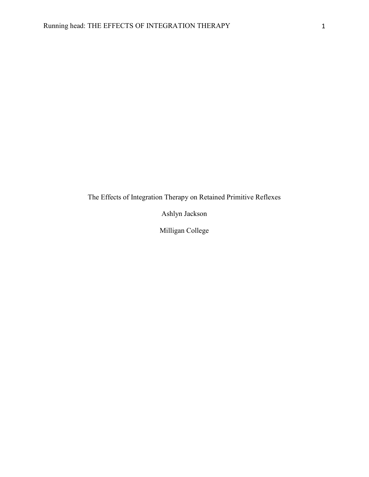The Effects of Integration Therapy on Retained Primitive Reflexes

Ashlyn Jackson

Milligan College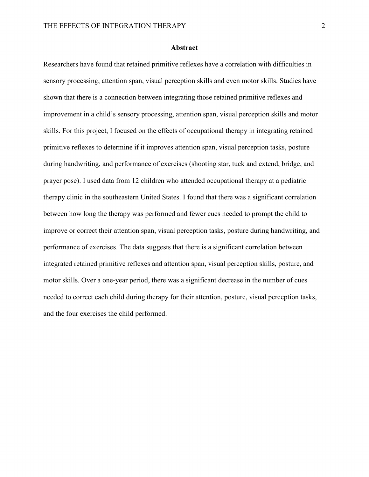#### **Abstract**

Researchers have found that retained primitive reflexes have a correlation with difficulties in sensory processing, attention span, visual perception skills and even motor skills. Studies have shown that there is a connection between integrating those retained primitive reflexes and improvement in a child's sensory processing, attention span, visual perception skills and motor skills. For this project, I focused on the effects of occupational therapy in integrating retained primitive reflexes to determine if it improves attention span, visual perception tasks, posture during handwriting, and performance of exercises (shooting star, tuck and extend, bridge, and prayer pose). I used data from 12 children who attended occupational therapy at a pediatric therapy clinic in the southeastern United States. I found that there was a significant correlation between how long the therapy was performed and fewer cues needed to prompt the child to improve or correct their attention span, visual perception tasks, posture during handwriting, and performance of exercises. The data suggests that there is a significant correlation between integrated retained primitive reflexes and attention span, visual perception skills, posture, and motor skills. Over a one-year period, there was a significant decrease in the number of cues needed to correct each child during therapy for their attention, posture, visual perception tasks, and the four exercises the child performed.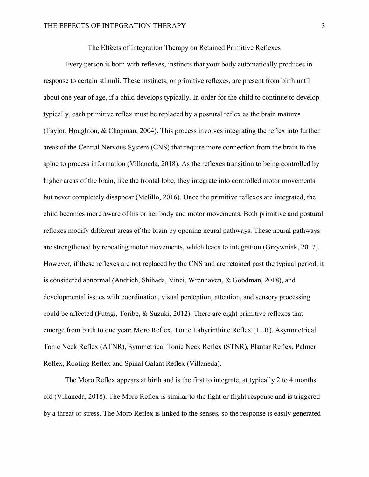The Effects of Integration Therapy on Retained Primitive Reflexes

Every person is born with reflexes, instincts that your body automatically produces in response to certain stimuli. These instincts, or primitive reflexes, are present from birth until about one year of age, if a child develops typically. In order for the child to continue to develop typically, each primitive reflex must be replaced by a postural reflex as the brain matures (Taylor, Houghton, & Chapman, 2004). This process involves integrating the reflex into further areas of the Central Nervous System (CNS) that require more connection from the brain to the spine to process information (Villaneda, 2018). As the reflexes transition to being controlled by higher areas of the brain, like the frontal lobe, they integrate into controlled motor movements but never completely disappear (Melillo, 2016). Once the primitive reflexes are integrated, the child becomes more aware of his or her body and motor movements. Both primitive and postural reflexes modify different areas of the brain by opening neural pathways. These neural pathways are strengthened by repeating motor movements, which leads to integration (Grzywniak, 2017). However, if these reflexes are not replaced by the CNS and are retained past the typical period, it is considered abnormal (Andrich, Shihada, Vinci, Wrenhaven, & Goodman, 2018), and developmental issues with coordination, visual perception, attention, and sensory processing could be affected (Futagi, Toribe, & Suzuki, 2012). There are eight primitive reflexes that emerge from birth to one year: Moro Reflex, Tonic Labyrinthine Reflex (TLR), Asymmetrical Tonic Neck Reflex (ATNR), Symmetrical Tonic Neck Reflex (STNR), Plantar Reflex, Palmer Reflex, Rooting Reflex and Spinal Galant Reflex (Villaneda).

The Moro Reflex appears at birth and is the first to integrate, at typically 2 to 4 months old (Villaneda, 2018). The Moro Reflex is similar to the fight or flight response and is triggered by a threat or stress. The Moro Reflex is linked to the senses, so the response is easily generated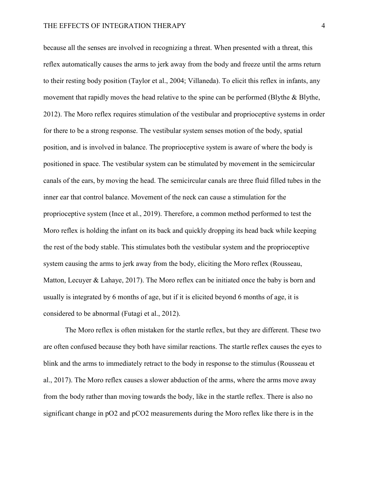because all the senses are involved in recognizing a threat. When presented with a threat, this reflex automatically causes the arms to jerk away from the body and freeze until the arms return to their resting body position (Taylor et al., 2004; Villaneda). To elicit this reflex in infants, any movement that rapidly moves the head relative to the spine can be performed (Blythe & Blythe, 2012). The Moro reflex requires stimulation of the vestibular and proprioceptive systems in order for there to be a strong response. The vestibular system senses motion of the body, spatial position, and is involved in balance. The proprioceptive system is aware of where the body is positioned in space. The vestibular system can be stimulated by movement in the semicircular canals of the ears, by moving the head. The semicircular canals are three fluid filled tubes in the inner ear that control balance. Movement of the neck can cause a stimulation for the proprioceptive system (Ince et al., 2019). Therefore, a common method performed to test the Moro reflex is holding the infant on its back and quickly dropping its head back while keeping the rest of the body stable. This stimulates both the vestibular system and the proprioceptive system causing the arms to jerk away from the body, eliciting the Moro reflex (Rousseau, Matton, Lecuyer & Lahaye, 2017). The Moro reflex can be initiated once the baby is born and usually is integrated by 6 months of age, but if it is elicited beyond 6 months of age, it is considered to be abnormal (Futagi et al., 2012).

The Moro reflex is often mistaken for the startle reflex, but they are different. These two are often confused because they both have similar reactions. The startle reflex causes the eyes to blink and the arms to immediately retract to the body in response to the stimulus (Rousseau et al., 2017). The Moro reflex causes a slower abduction of the arms, where the arms move away from the body rather than moving towards the body, like in the startle reflex. There is also no significant change in pO2 and pCO2 measurements during the Moro reflex like there is in the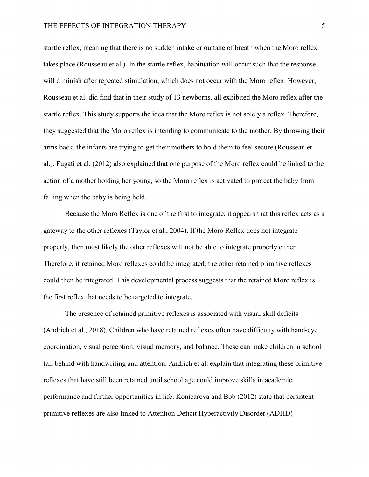startle reflex, meaning that there is no sudden intake or outtake of breath when the Moro reflex takes place (Rousseau et al.). In the startle reflex, habituation will occur such that the response will diminish after repeated stimulation, which does not occur with the Moro reflex. However, Rousseau et al. did find that in their study of 13 newborns, all exhibited the Moro reflex after the startle reflex. This study supports the idea that the Moro reflex is not solely a reflex. Therefore, they suggested that the Moro reflex is intending to communicate to the mother. By throwing their arms back, the infants are trying to get their mothers to hold them to feel secure (Rousseau et al.). Fugati et al. (2012) also explained that one purpose of the Moro reflex could be linked to the action of a mother holding her young, so the Moro reflex is activated to protect the baby from falling when the baby is being held.

Because the Moro Reflex is one of the first to integrate, it appears that this reflex acts as a gateway to the other reflexes (Taylor et al., 2004). If the Moro Reflex does not integrate properly, then most likely the other reflexes will not be able to integrate properly either. Therefore, if retained Moro reflexes could be integrated, the other retained primitive reflexes could then be integrated. This developmental process suggests that the retained Moro reflex is the first reflex that needs to be targeted to integrate.

 The presence of retained primitive reflexes is associated with visual skill deficits (Andrich et al., 2018). Children who have retained reflexes often have difficulty with hand-eye coordination, visual perception, visual memory, and balance. These can make children in school fall behind with handwriting and attention. Andrich et al. explain that integrating these primitive reflexes that have still been retained until school age could improve skills in academic performance and further opportunities in life. Konicarova and Bob (2012) state that persistent primitive reflexes are also linked to Attention Deficit Hyperactivity Disorder (ADHD)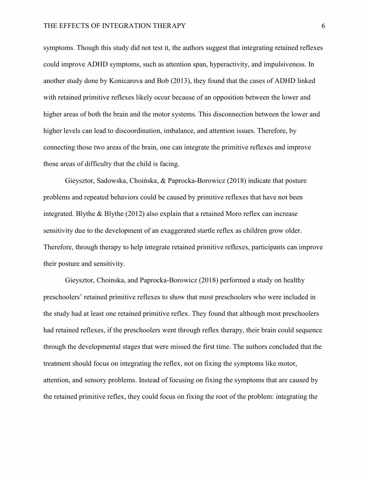symptoms. Though this study did not test it, the authors suggest that integrating retained reflexes could improve ADHD symptoms, such as attention span, hyperactivity, and impulsiveness. In another study done by Konicarova and Bob (2013), they found that the cases of ADHD linked with retained primitive reflexes likely occur because of an opposition between the lower and higher areas of both the brain and the motor systems. This disconnection between the lower and higher levels can lead to discoordination, imbalance, and attention issues. Therefore, by connecting those two areas of the brain, one can integrate the primitive reflexes and improve those areas of difficulty that the child is facing.

 Gieysztor, Sadowska, Choińska, & Paprocka-Borowicz (2018) indicate that posture problems and repeated behaviors could be caused by primitive reflexes that have not been integrated. Blythe & Blythe (2012) also explain that a retained Moro reflex can increase sensitivity due to the development of an exaggerated startle reflex as children grow older. Therefore, through therapy to help integrate retained primitive reflexes, participants can improve their posture and sensitivity.

 Gieysztor, Choinska, and Paprocka-Borowicz (2018) performed a study on healthy preschoolers' retained primitive reflexes to show that most preschoolers who were included in the study had at least one retained primitive reflex. They found that although most preschoolers had retained reflexes, if the preschoolers went through reflex therapy, their brain could sequence through the developmental stages that were missed the first time. The authors concluded that the treatment should focus on integrating the reflex, not on fixing the symptoms like motor, attention, and sensory problems. Instead of focusing on fixing the symptoms that are caused by the retained primitive reflex, they could focus on fixing the root of the problem: integrating the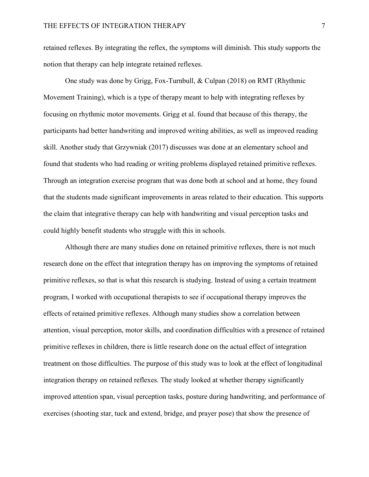retained reflexes. By integrating the reflex, the symptoms will diminish. This study supports the notion that therapy can help integrate retained reflexes.

 One study was done by Grigg, Fox-Turnbull, & Culpan (2018) on RMT (Rhythmic Movement Training), which is a type of therapy meant to help with integrating reflexes by focusing on rhythmic motor movements. Grigg et al. found that because of this therapy, the participants had better handwriting and improved writing abilities, as well as improved reading skill. Another study that Grzywniak (2017) discusses was done at an elementary school and found that students who had reading or writing problems displayed retained primitive reflexes. Through an integration exercise program that was done both at school and at home, they found that the students made significant improvements in areas related to their education. This supports the claim that integrative therapy can help with handwriting and visual perception tasks and could highly benefit students who struggle with this in schools.

Although there are many studies done on retained primitive reflexes, there is not much research done on the effect that integration therapy has on improving the symptoms of retained primitive reflexes, so that is what this research is studying. Instead of using a certain treatment program, I worked with occupational therapists to see if occupational therapy improves the effects of retained primitive reflexes. Although many studies show a correlation between attention, visual perception, motor skills, and coordination difficulties with a presence of retained primitive reflexes in children, there is little research done on the actual effect of integration treatment on those difficulties. The purpose of this study was to look at the effect of longitudinal integration therapy on retained reflexes. The study looked at whether therapy significantly improved attention span, visual perception tasks, posture during handwriting, and performance of exercises (shooting star, tuck and extend, bridge, and prayer pose) that show the presence of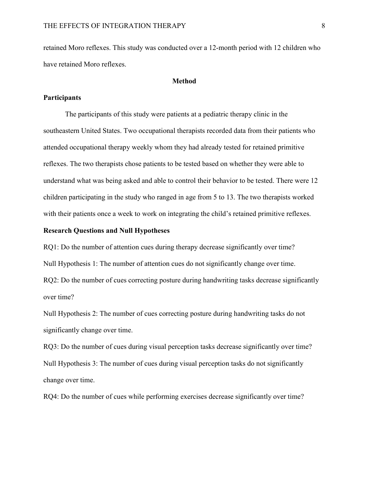retained Moro reflexes. This study was conducted over a 12-month period with 12 children who have retained Moro reflexes.

### Method

### **Participants**

 The participants of this study were patients at a pediatric therapy clinic in the southeastern United States. Two occupational therapists recorded data from their patients who attended occupational therapy weekly whom they had already tested for retained primitive reflexes. The two therapists chose patients to be tested based on whether they were able to understand what was being asked and able to control their behavior to be tested. There were 12 children participating in the study who ranged in age from 5 to 13. The two therapists worked with their patients once a week to work on integrating the child's retained primitive reflexes.

## Research Questions and Null Hypotheses

RQ1: Do the number of attention cues during therapy decrease significantly over time? Null Hypothesis 1: The number of attention cues do not significantly change over time. RQ2: Do the number of cues correcting posture during handwriting tasks decrease significantly over time?

Null Hypothesis 2: The number of cues correcting posture during handwriting tasks do not significantly change over time.

RQ3: Do the number of cues during visual perception tasks decrease significantly over time? Null Hypothesis 3: The number of cues during visual perception tasks do not significantly change over time.

RQ4: Do the number of cues while performing exercises decrease significantly over time?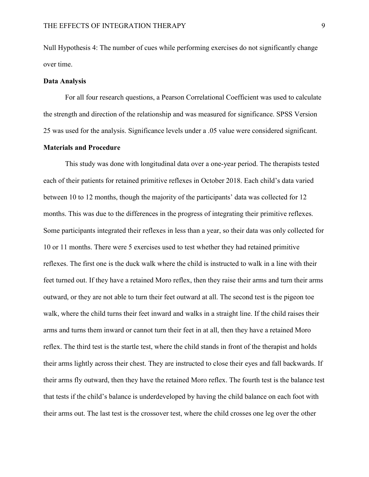Null Hypothesis 4: The number of cues while performing exercises do not significantly change over time.

#### Data Analysis

For all four research questions, a Pearson Correlational Coefficient was used to calculate the strength and direction of the relationship and was measured for significance. SPSS Version 25 was used for the analysis. Significance levels under a .05 value were considered significant.

# Materials and Procedure

 This study was done with longitudinal data over a one-year period. The therapists tested each of their patients for retained primitive reflexes in October 2018. Each child's data varied between 10 to 12 months, though the majority of the participants' data was collected for 12 months. This was due to the differences in the progress of integrating their primitive reflexes. Some participants integrated their reflexes in less than a year, so their data was only collected for 10 or 11 months. There were 5 exercises used to test whether they had retained primitive reflexes. The first one is the duck walk where the child is instructed to walk in a line with their feet turned out. If they have a retained Moro reflex, then they raise their arms and turn their arms outward, or they are not able to turn their feet outward at all. The second test is the pigeon toe walk, where the child turns their feet inward and walks in a straight line. If the child raises their arms and turns them inward or cannot turn their feet in at all, then they have a retained Moro reflex. The third test is the startle test, where the child stands in front of the therapist and holds their arms lightly across their chest. They are instructed to close their eyes and fall backwards. If their arms fly outward, then they have the retained Moro reflex. The fourth test is the balance test that tests if the child's balance is underdeveloped by having the child balance on each foot with their arms out. The last test is the crossover test, where the child crosses one leg over the other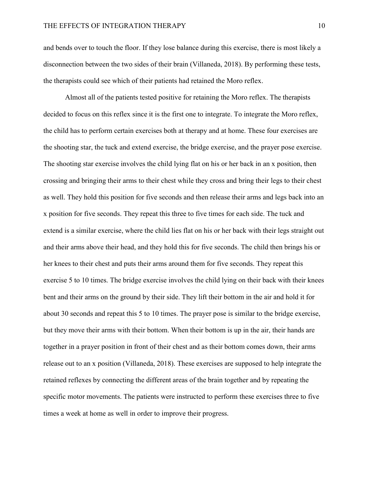and bends over to touch the floor. If they lose balance during this exercise, there is most likely a disconnection between the two sides of their brain (Villaneda, 2018). By performing these tests, the therapists could see which of their patients had retained the Moro reflex.

Almost all of the patients tested positive for retaining the Moro reflex. The therapists decided to focus on this reflex since it is the first one to integrate. To integrate the Moro reflex, the child has to perform certain exercises both at therapy and at home. These four exercises are the shooting star, the tuck and extend exercise, the bridge exercise, and the prayer pose exercise. The shooting star exercise involves the child lying flat on his or her back in an x position, then crossing and bringing their arms to their chest while they cross and bring their legs to their chest as well. They hold this position for five seconds and then release their arms and legs back into an x position for five seconds. They repeat this three to five times for each side. The tuck and extend is a similar exercise, where the child lies flat on his or her back with their legs straight out and their arms above their head, and they hold this for five seconds. The child then brings his or her knees to their chest and puts their arms around them for five seconds. They repeat this exercise 5 to 10 times. The bridge exercise involves the child lying on their back with their knees bent and their arms on the ground by their side. They lift their bottom in the air and hold it for about 30 seconds and repeat this 5 to 10 times. The prayer pose is similar to the bridge exercise, but they move their arms with their bottom. When their bottom is up in the air, their hands are together in a prayer position in front of their chest and as their bottom comes down, their arms release out to an x position (Villaneda, 2018). These exercises are supposed to help integrate the retained reflexes by connecting the different areas of the brain together and by repeating the specific motor movements. The patients were instructed to perform these exercises three to five times a week at home as well in order to improve their progress.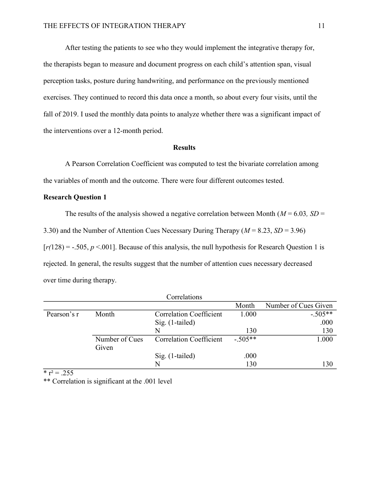After testing the patients to see who they would implement the integrative therapy for, the therapists began to measure and document progress on each child's attention span, visual perception tasks, posture during handwriting, and performance on the previously mentioned exercises. They continued to record this data once a month, so about every four visits, until the fall of 2019. I used the monthly data points to analyze whether there was a significant impact of the interventions over a 12-month period.

### Results

 A Pearson Correlation Coefficient was computed to test the bivariate correlation among the variables of month and the outcome. There were four different outcomes tested.

# Research Question 1

The results of the analysis showed a negative correlation between Month ( $M = 6.03$ ,  $SD =$ 3.30) and the Number of Attention Cues Necessary During Therapy ( $M = 8.23$ ,  $SD = 3.96$ )  $[r(128) = -.505, p < .001]$ . Because of this analysis, the null hypothesis for Research Question 1 is rejected. In general, the results suggest that the number of attention cues necessary decreased over time during therapy.

|             |                | Correlations                   |           |                      |
|-------------|----------------|--------------------------------|-----------|----------------------|
|             |                |                                | Month     | Number of Cues Given |
| Pearson's r | Month          | <b>Correlation Coefficient</b> | 1.000     | $-.505**$            |
|             |                | $Sig.$ (1-tailed)              |           | .000                 |
|             |                |                                | 130       | 130                  |
|             | Number of Cues | <b>Correlation Coefficient</b> | $-.505**$ | 1.000                |
|             | Given          |                                |           |                      |
|             |                | Sig. (1-tailed)                | .000      |                      |
|             |                |                                | 130       | 130                  |

 $\overline{\text{ }^{*} \text{ } \text{ }r^2} = .255$ 

\*\* Correlation is significant at the .001 level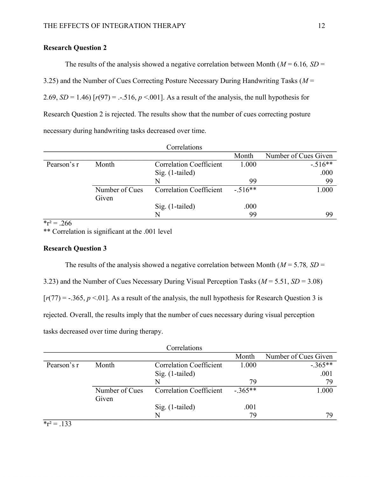# Research Question 2

The results of the analysis showed a negative correlation between Month ( $M = 6.16$ ,  $SD =$ 3.25) and the Number of Cues Correcting Posture Necessary During Handwriting Tasks ( $M =$ 2.69,  $SD = 1.46$ )  $[r(97) = -.516, p < .001]$ . As a result of the analysis, the null hypothesis for Research Question 2 is rejected. The results show that the number of cues correcting posture necessary during handwriting tasks decreased over time.

|             |                | Correlations                   |           |                      |
|-------------|----------------|--------------------------------|-----------|----------------------|
|             |                |                                | Month     | Number of Cues Given |
| Pearson's r | Month          | <b>Correlation Coefficient</b> | 1.000     | $-.516**$            |
|             |                | $Sig.$ (1-tailed)              |           | .000                 |
|             |                |                                | 99        | 99                   |
|             | Number of Cues | <b>Correlation Coefficient</b> | $-.516**$ | 1.000                |
|             | Given          |                                |           |                      |
|             |                | $Sig.$ (1-tailed)              | .000      |                      |
|             |                |                                | 99        | 99                   |

 $r^2 = .266$ 

\*\* Correlation is significant at the .001 level

# Research Question 3

The results of the analysis showed a negative correlation between Month ( $M = 5.78$ ,  $SD =$ 3.23) and the Number of Cues Necessary During Visual Perception Tasks ( $M = 5.51$ ,  $SD = 3.08$ )  $[r(77) = -.365, p < .01]$ . As a result of the analysis, the null hypothesis for Research Question 3 is rejected. Overall, the results imply that the number of cues necessary during visual perception tasks decreased over time during therapy.

|             |                | Correlations                   |           |                      |
|-------------|----------------|--------------------------------|-----------|----------------------|
|             |                |                                | Month     | Number of Cues Given |
| Pearson's r | Month          | <b>Correlation Coefficient</b> | 1.000     | $-.365**$            |
|             |                | $Sig.$ (1-tailed)              |           | .001                 |
|             |                | N                              | 79        | 79                   |
|             | Number of Cues | <b>Correlation Coefficient</b> | $-.365**$ | 1.000                |
|             | Given          |                                |           |                      |
|             |                | $Sig.$ (1-tailed)              | .001      |                      |
|             |                | N                              | 79        | 79                   |

 $r^2 = .133$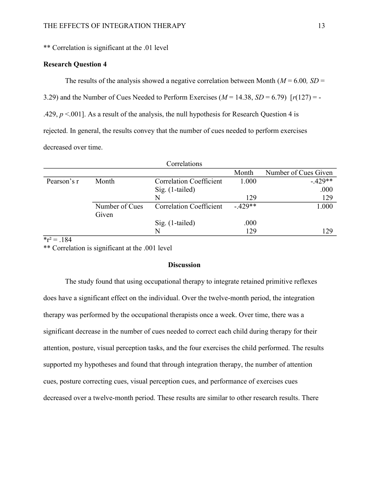\*\* Correlation is significant at the .01 level

# Research Question 4

The results of the analysis showed a negative correlation between Month ( $M = 6.00$ ,  $SD =$ 

3.29) and the Number of Cues Needed to Perform Exercises ( $M = 14.38$ ,  $SD = 6.79$ )  $[r(127) = -16.79]$ 

.429,  $p < 0.001$ ]. As a result of the analysis, the null hypothesis for Research Question 4 is

rejected. In general, the results convey that the number of cues needed to perform exercises

decreased over time.

|             |                | Correlations                   |           |                      |
|-------------|----------------|--------------------------------|-----------|----------------------|
|             |                |                                | Month     | Number of Cues Given |
| Pearson's r | Month          | <b>Correlation Coefficient</b> | 1.000     | $-.429**$            |
|             |                | $Sig.$ (1-tailed)              |           | .000                 |
|             |                | N                              | 129       | 129                  |
|             | Number of Cues | <b>Correlation Coefficient</b> | $-.429**$ | 1.000                |
|             | Given          |                                |           |                      |
|             |                | $Sig.$ (1-tailed)              | .000      |                      |
|             |                | N                              | 129       | 129                  |

 $r^2 = 184$ 

\*\* Correlation is significant at the .001 level

# **Discussion**

 The study found that using occupational therapy to integrate retained primitive reflexes does have a significant effect on the individual. Over the twelve-month period, the integration therapy was performed by the occupational therapists once a week. Over time, there was a significant decrease in the number of cues needed to correct each child during therapy for their attention, posture, visual perception tasks, and the four exercises the child performed. The results supported my hypotheses and found that through integration therapy, the number of attention cues, posture correcting cues, visual perception cues, and performance of exercises cues decreased over a twelve-month period. These results are similar to other research results. There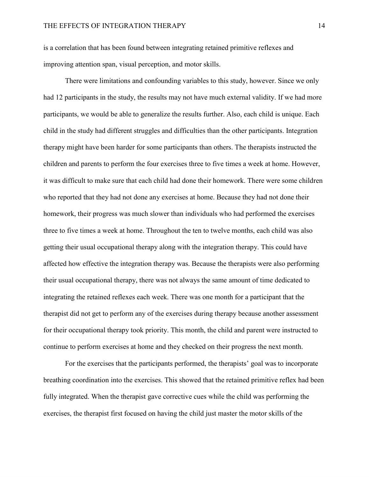is a correlation that has been found between integrating retained primitive reflexes and improving attention span, visual perception, and motor skills.

There were limitations and confounding variables to this study, however. Since we only had 12 participants in the study, the results may not have much external validity. If we had more participants, we would be able to generalize the results further. Also, each child is unique. Each child in the study had different struggles and difficulties than the other participants. Integration therapy might have been harder for some participants than others. The therapists instructed the children and parents to perform the four exercises three to five times a week at home. However, it was difficult to make sure that each child had done their homework. There were some children who reported that they had not done any exercises at home. Because they had not done their homework, their progress was much slower than individuals who had performed the exercises three to five times a week at home. Throughout the ten to twelve months, each child was also getting their usual occupational therapy along with the integration therapy. This could have affected how effective the integration therapy was. Because the therapists were also performing their usual occupational therapy, there was not always the same amount of time dedicated to integrating the retained reflexes each week. There was one month for a participant that the therapist did not get to perform any of the exercises during therapy because another assessment for their occupational therapy took priority. This month, the child and parent were instructed to continue to perform exercises at home and they checked on their progress the next month.

For the exercises that the participants performed, the therapists' goal was to incorporate breathing coordination into the exercises. This showed that the retained primitive reflex had been fully integrated. When the therapist gave corrective cues while the child was performing the exercises, the therapist first focused on having the child just master the motor skills of the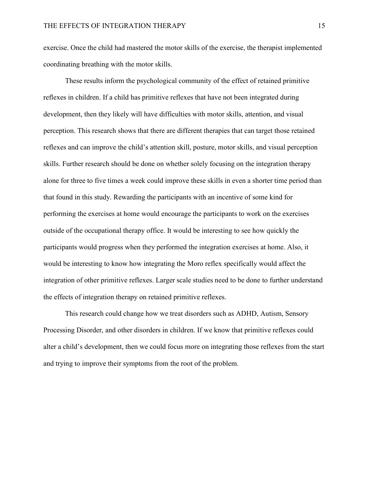exercise. Once the child had mastered the motor skills of the exercise, the therapist implemented coordinating breathing with the motor skills.

These results inform the psychological community of the effect of retained primitive reflexes in children. If a child has primitive reflexes that have not been integrated during development, then they likely will have difficulties with motor skills, attention, and visual perception. This research shows that there are different therapies that can target those retained reflexes and can improve the child's attention skill, posture, motor skills, and visual perception skills. Further research should be done on whether solely focusing on the integration therapy alone for three to five times a week could improve these skills in even a shorter time period than that found in this study. Rewarding the participants with an incentive of some kind for performing the exercises at home would encourage the participants to work on the exercises outside of the occupational therapy office. It would be interesting to see how quickly the participants would progress when they performed the integration exercises at home. Also, it would be interesting to know how integrating the Moro reflex specifically would affect the integration of other primitive reflexes. Larger scale studies need to be done to further understand the effects of integration therapy on retained primitive reflexes.

This research could change how we treat disorders such as ADHD, Autism, Sensory Processing Disorder, and other disorders in children. If we know that primitive reflexes could alter a child's development, then we could focus more on integrating those reflexes from the start and trying to improve their symptoms from the root of the problem.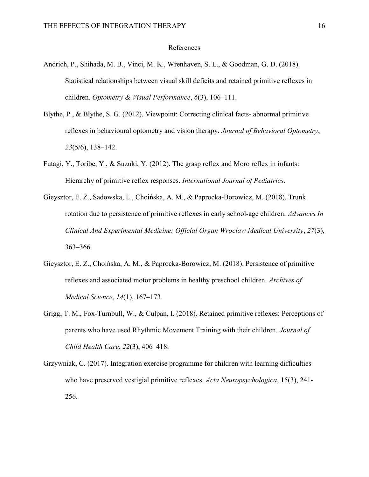#### References

- Andrich, P., Shihada, M. B., Vinci, M. K., Wrenhaven, S. L., & Goodman, G. D. (2018). Statistical relationships between visual skill deficits and retained primitive reflexes in children. Optometry & Visual Performance, 6(3), 106–111.
- Blythe, P., & Blythe, S. G. (2012). Viewpoint: Correcting clinical facts- abnormal primitive reflexes in behavioural optometry and vision therapy. Journal of Behavioral Optometry, 23(5/6), 138–142.
- Futagi, Y., Toribe, Y., & Suzuki, Y. (2012). The grasp reflex and Moro reflex in infants: Hierarchy of primitive reflex responses. International Journal of Pediatrics.
- Gieysztor, E. Z., Sadowska, L., Choińska, A. M., & Paprocka-Borowicz, M. (2018). Trunk rotation due to persistence of primitive reflexes in early school-age children. Advances In Clinical And Experimental Medicine: Official Organ Wroclaw Medical University, 27(3), 363–366.
- Gieysztor, E. Z., Choińska, A. M., & Paprocka-Borowicz, M. (2018). Persistence of primitive reflexes and associated motor problems in healthy preschool children. Archives of Medical Science, 14(1), 167–173.
- Grigg, T. M., Fox-Turnbull, W., & Culpan, I. (2018). Retained primitive reflexes: Perceptions of parents who have used Rhythmic Movement Training with their children. Journal of Child Health Care, 22(3), 406–418.
- Grzywniak, C. (2017). Integration exercise programme for children with learning difficulties who have preserved vestigial primitive reflexes. Acta Neuropsychologica, 15(3), 241-256.